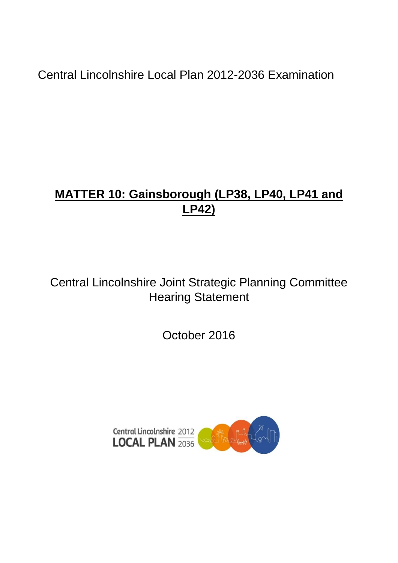Central Lincolnshire Local Plan 2012-2036 Examination

# **MATTER 10: Gainsborough (LP38, LP40, LP41 and LP42)**

Central Lincolnshire Joint Strategic Planning Committee Hearing Statement

October 2016

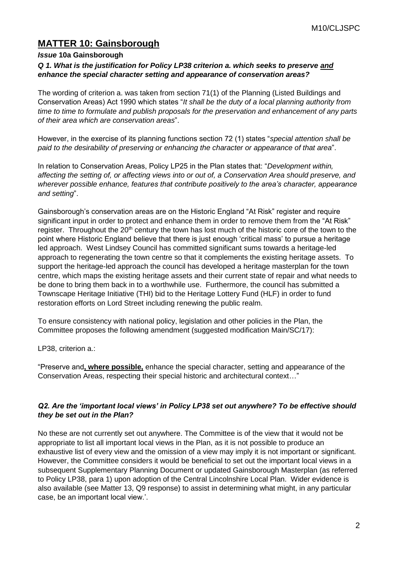# **MATTER 10: Gainsborough**

### *Issue* **10a Gainsborough**

# *Q 1. What is the justification for Policy LP38 criterion a. which seeks to preserve and enhance the special character setting and appearance of conservation areas?*

The wording of criterion a. was taken from section 71(1) of the Planning (Listed Buildings and Conservation Areas) Act 1990 which states "*It shall be the duty of a local planning authority from time to time to formulate and publish proposals for the preservation and enhancement of any parts of their area which are conservation areas*".

However, in the exercise of its planning functions section 72 (1) states "*special attention shall be paid to the desirability of preserving or enhancing the character or appearance of that area*".

In relation to Conservation Areas, Policy LP25 in the Plan states that: "*Development within, affecting the setting of, or affecting views into or out of, a Conservation Area should preserve, and wherever possible enhance, features that contribute positively to the area's character, appearance and setting*".

Gainsborough's conservation areas are on the Historic England "At Risk" register and require significant input in order to protect and enhance them in order to remove them from the "At Risk" register. Throughout the 20<sup>th</sup> century the town has lost much of the historic core of the town to the point where Historic England believe that there is just enough 'critical mass' to pursue a heritage led approach. West Lindsey Council has committed significant sums towards a heritage-led approach to regenerating the town centre so that it complements the existing heritage assets. To support the heritage-led approach the council has developed a heritage masterplan for the town centre, which maps the existing heritage assets and their current state of repair and what needs to be done to bring them back in to a worthwhile use. Furthermore, the council has submitted a Townscape Heritage Initiative (THI) bid to the Heritage Lottery Fund (HLF) in order to fund restoration efforts on Lord Street including renewing the public realm.

To ensure consistency with national policy, legislation and other policies in the Plan, the Committee proposes the following amendment (suggested modification Main/SC/17):

LP38, criterion a.:

"Preserve and**, where possible,** enhance the special character, setting and appearance of the Conservation Areas, respecting their special historic and architectural context…"

### *Q2. Are the 'important local views' in Policy LP38 set out anywhere? To be effective should they be set out in the Plan?*

No these are not currently set out anywhere. The Committee is of the view that it would not be appropriate to list all important local views in the Plan, as it is not possible to produce an exhaustive list of every view and the omission of a view may imply it is not important or significant. However, the Committee considers it would be beneficial to set out the important local views in a subsequent Supplementary Planning Document or updated Gainsborough Masterplan (as referred to Policy LP38, para 1) upon adoption of the Central Lincolnshire Local Plan. Wider evidence is also available (see Matter 13, Q9 response) to assist in determining what might, in any particular case, be an important local view.'.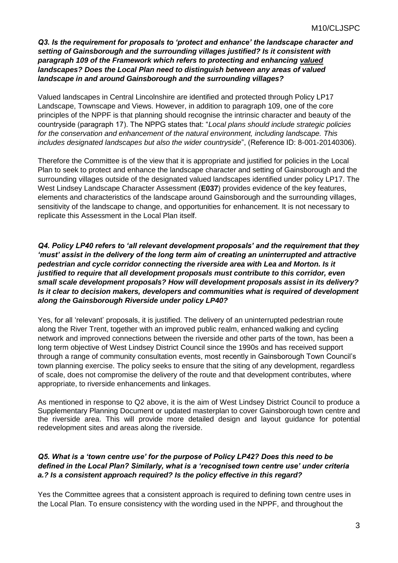*Q3. Is the requirement for proposals to 'protect and enhance' the landscape character and setting of Gainsborough and the surrounding villages justified? Is it consistent with paragraph 109 of the Framework which refers to protecting and enhancing valued landscapes? Does the Local Plan need to distinguish between any areas of valued landscape in and around Gainsborough and the surrounding villages?*

Valued landscapes in Central Lincolnshire are identified and protected through Policy LP17 Landscape, Townscape and Views. However, in addition to paragraph 109, one of the core principles of the NPPF is that planning should recognise the intrinsic character and beauty of the countryside (paragraph 17). The NPPG states that: "*Local plans should include strategic policies for the conservation and enhancement of the natural environment, including landscape. This includes designated landscapes but also the wider countryside*", (Reference ID: 8-001-20140306).

Therefore the Committee is of the view that it is appropriate and justified for policies in the Local Plan to seek to protect and enhance the landscape character and setting of Gainsborough and the surrounding villages outside of the designated valued landscapes identified under policy LP17. The West Lindsey Landscape Character Assessment (**E037**) provides evidence of the key features, elements and characteristics of the landscape around Gainsborough and the surrounding villages, sensitivity of the landscape to change, and opportunities for enhancement. It is not necessary to replicate this Assessment in the Local Plan itself.

*Q4. Policy LP40 refers to 'all relevant development proposals' and the requirement that they 'must' assist in the delivery of the long term aim of creating an uninterrupted and attractive pedestrian and cycle corridor connecting the riverside area with Lea and Morton. Is it justified to require that all development proposals must contribute to this corridor, even small scale development proposals? How will development proposals assist in its delivery? Is it clear to decision makers, developers and communities what is required of development along the Gainsborough Riverside under policy LP40?*

Yes, for all 'relevant' proposals, it is justified. The delivery of an uninterrupted pedestrian route along the River Trent, together with an improved public realm, enhanced walking and cycling network and improved connections between the riverside and other parts of the town, has been a long term objective of West Lindsey District Council since the 1990s and has received support through a range of community consultation events, most recently in Gainsborough Town Council's town planning exercise. The policy seeks to ensure that the siting of any development, regardless of scale, does not compromise the delivery of the route and that development contributes, where appropriate, to riverside enhancements and linkages.

As mentioned in response to Q2 above, it is the aim of West Lindsey District Council to produce a Supplementary Planning Document or updated masterplan to cover Gainsborough town centre and the riverside area. This will provide more detailed design and layout guidance for potential redevelopment sites and areas along the riverside.

### *Q5. What is a 'town centre use' for the purpose of Policy LP42? Does this need to be defined in the Local Plan? Similarly, what is a 'recognised town centre use' under criteria a.? Is a consistent approach required? Is the policy effective in this regard?*

Yes the Committee agrees that a consistent approach is required to defining town centre uses in the Local Plan. To ensure consistency with the wording used in the NPPF, and throughout the